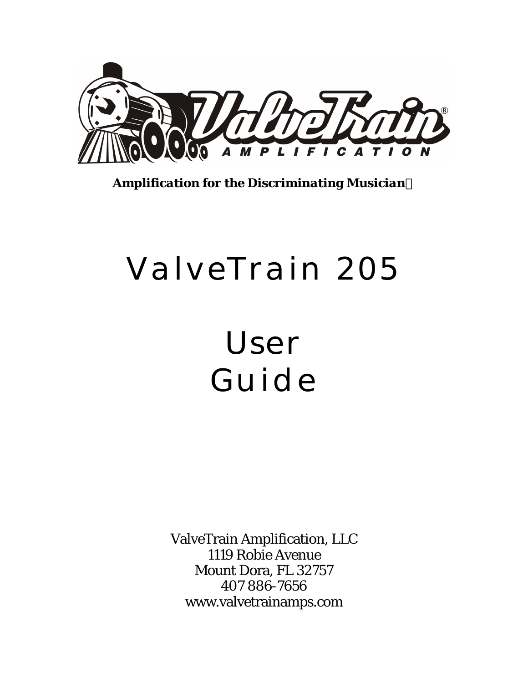

*Amplification for the Discriminating Musician*

# ValveTrain 205

# User Guide

ValveTrain Amplification, LLC 1119 Robie Avenue Mount Dora, FL 32757 407 886-7656 www.valvetrainamps.com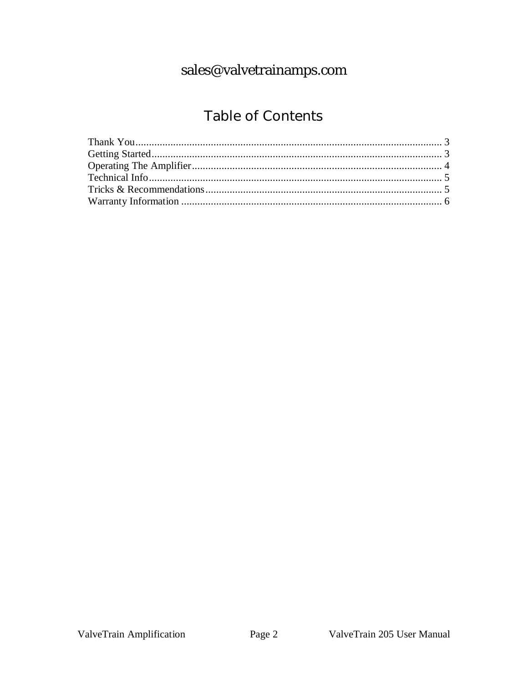## sales@valvetrainamps.com

## Table of Contents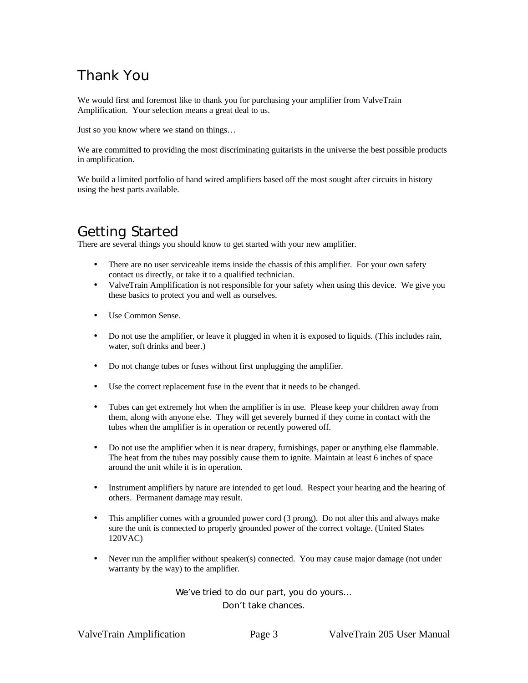## Thank You

We would first and foremost like to thank you for purchasing your amplifier from ValveTrain Amplification. Your selection means a great deal to us.

Just so you know where we stand on things…

We are committed to providing the most discriminating guitarists in the universe the best possible products in amplification.

We build a limited portfolio of hand wired amplifiers based off the most sought after circuits in history using the best parts available.

#### Getting Started

There are several things you should know to get started with your new amplifier.

- There are no user serviceable items inside the chassis of this amplifier. For your own safety contact us directly, or take it to a qualified technician.
- ValveTrain Amplification is not responsible for your safety when using this device. We give you these basics to protect you and well as ourselves.
- Use Common Sense.
- Do not use the amplifier, or leave it plugged in when it is exposed to liquids. (This includes rain, water, soft drinks and beer.)
- Do not change tubes or fuses without first unplugging the amplifier.
- Use the correct replacement fuse in the event that it needs to be changed.
- Tubes can get extremely hot when the amplifier is in use. Please keep your children away from them, along with anyone else. They will get severely burned if they come in contact with the tubes when the amplifier is in operation or recently powered off.
- Do not use the amplifier when it is near drapery, furnishings, paper or anything else flammable. The heat from the tubes may possibly cause them to ignite. Maintain at least 6 inches of space around the unit while it is in operation.
- Instrument amplifiers by nature are intended to get loud. Respect your hearing and the hearing of others. Permanent damage may result.
- This amplifier comes with a grounded power cord (3 prong). Do not alter this and always make sure the unit is connected to properly grounded power of the correct voltage. (United States 120VAC)
- Never run the amplifier without speaker(s) connected. You may cause major damage (not under warranty by the way) to the amplifier.

We've tried to do our part, you do yours…

Don't take chances.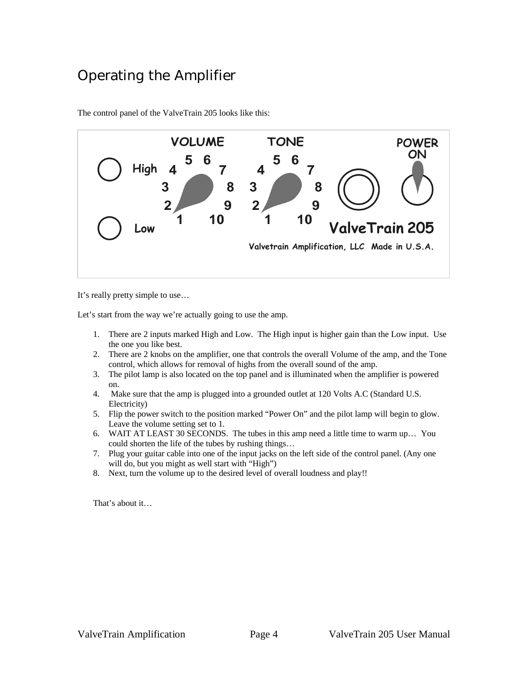#### Operating the Amplifier



The control panel of the ValveTrain 205 looks like this:

It's really pretty simple to use…

Let's start from the way we're actually going to use the amp.

- 1. There are 2 inputs marked High and Low. The High input is higher gain than the Low input. Use the one you like best.
- 2. There are 2 knobs on the amplifier, one that controls the overall Volume of the amp, and the Tone control, which allows for removal of highs from the overall sound of the amp.
- 3. The pilot lamp is also located on the top panel and is illuminated when the amplifier is powered on.
- 4. Make sure that the amp is plugged into a grounded outlet at 120 Volts A.C (Standard U.S. Electricity)
- 5. Flip the power switch to the position marked "Power On" and the pilot lamp will begin to glow. Leave the volume setting set to 1.
- 6. WAIT AT LEAST 30 SECONDS. The tubes in this amp need a little time to warm up… You could shorten the life of the tubes by rushing things…
- 7. Plug your guitar cable into one of the input jacks on the left side of the control panel. (Any one will do, but you might as well start with "High")
- 8. Next, turn the volume up to the desired level of overall loudness and play!!

That's about it…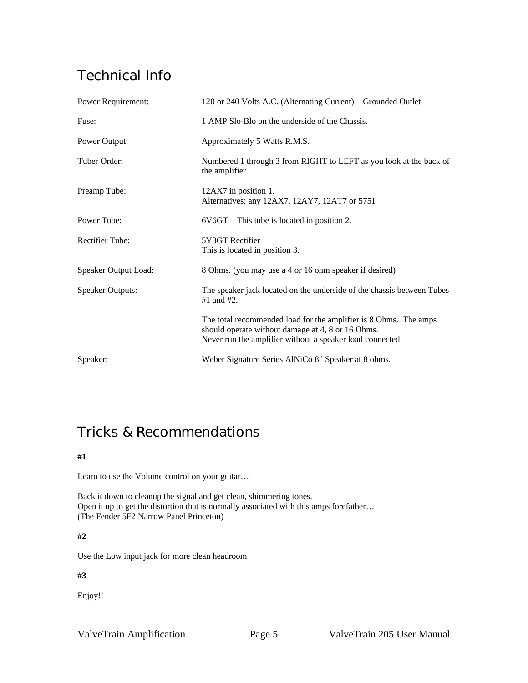### Technical Info

| <b>Power Requirement:</b> | 120 or 240 Volts A.C. (Alternating Current) – Grounded Outlet                                                                                                                     |
|---------------------------|-----------------------------------------------------------------------------------------------------------------------------------------------------------------------------------|
| Fuse:                     | 1 AMP Slo-Blo on the underside of the Chassis.                                                                                                                                    |
| Power Output:             | Approximately 5 Watts R.M.S.                                                                                                                                                      |
| Tuber Order:              | Numbered 1 through 3 from RIGHT to LEFT as you look at the back of<br>the amplifier.                                                                                              |
| Preamp Tube:              | 12AX7 in position 1.<br>Alternatives: any 12AX7, 12AY7, 12AT7 or 5751                                                                                                             |
| Power Tube:               | $6V6GT$ – This tube is located in position 2.                                                                                                                                     |
| <b>Rectifier Tube:</b>    | 5Y3GT Rectifier<br>This is located in position 3.                                                                                                                                 |
| Speaker Output Load:      | 8 Ohms. (you may use a 4 or 16 ohm speaker if desired)                                                                                                                            |
| <b>Speaker Outputs:</b>   | The speaker jack located on the underside of the chassis between Tubes<br>#1 and #2.                                                                                              |
|                           | The total recommended load for the amplifier is 8 Ohms. The amps<br>should operate without damage at 4, 8 or 16 Ohms.<br>Never run the amplifier without a speaker load connected |
| Speaker:                  | Weber Signature Series AlNiCo 8" Speaker at 8 ohms.                                                                                                                               |

#### Tricks & Recommendations

#### **#1**

Learn to use the Volume control on your guitar…

Back it down to cleanup the signal and get clean, shimmering tones. Open it up to get the distortion that is normally associated with this amps forefather… (The Fender 5F2 Narrow Panel Princeton)

#### **#2**

Use the Low input jack for more clean headroom

**#3**

Enjoy!!